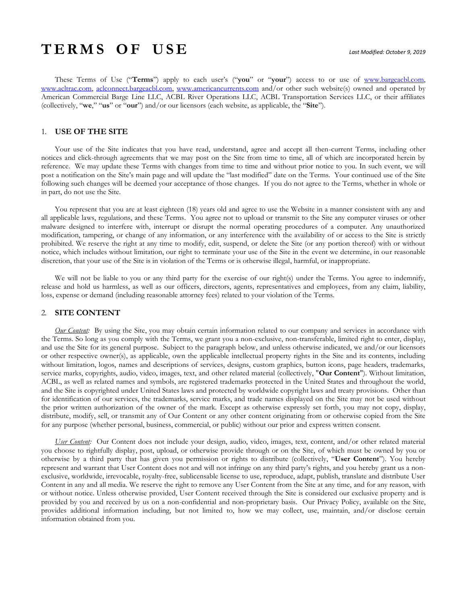# **T E R M S O F U S E** *Last Modified: October 9, 2019*

These Terms of Use ("**Terms**") apply to each user's ("**you**" or "**your**") access to or use of [www.bargeacbl.com,](http://www.bargeacbl.com/) [www.acltrac.com,](http://www.acltrac.com/) [aclconnect.bargeacbl.com,](http://aclconnect.bargeacbl.com/) [www.americancurrents.com](www.americancurrents.com%20) and/or other such website(s) owned and operated by American Commercial Barge Line LLC, ACBL River Operations LLC, ACBL Transportation Services LLC, or their affiliates (collectively, "**we**," "**us**" or "**our**") and/or our licensors (each website, as applicable, the "**Site**").

# 1. **USE OF THE SITE**

Your use of the Site indicates that you have read, understand, agree and accept all then-current Terms, including other notices and click-through agreements that we may post on the Site from time to time, all of which are incorporated herein by reference. We may update these Terms with changes from time to time and without prior notice to you. In such event, we will post a notification on the Site's main page and will update the "last modified" date on the Terms. Your continued use of the Site following such changes will be deemed your acceptance of those changes. If you do not agree to the Terms, whether in whole or in part, do not use the Site.

You represent that you are at least eighteen (18) years old and agree to use the Website in a manner consistent with any and all applicable laws, regulations, and these Terms. You agree not to upload or transmit to the Site any computer viruses or other malware designed to interfere with, interrupt or disrupt the normal operating procedures of a computer. Any unauthorized modification, tampering, or change of any information, or any interference with the availability of or access to the Site is strictly prohibited. We reserve the right at any time to modify, edit, suspend, or delete the Site (or any portion thereof) with or without notice, which includes without limitation, our right to terminate your use of the Site in the event we determine, in our reasonable discretion, that your use of the Site is in violation of the Terms or is otherwise illegal, harmful, or inappropriate.

We will not be liable to you or any third party for the exercise of our right(s) under the Terms. You agree to indemnify, release and hold us harmless, as well as our officers, directors, agents, representatives and employees, from any claim, liability, loss, expense or demand (including reasonable attorney fees) related to your violation of the Terms.

#### 2. **SITE CONTENT**

*Our Content:* By using the Site, you may obtain certain information related to our company and services in accordance with the Terms. So long as you comply with the Terms, we grant you a non-exclusive, non-transferable, limited right to enter, display, and use the Site for its general purpose. Subject to the paragraph below, and unless otherwise indicated, we and/or our licensors or other respective owner(s), as applicable, own the applicable intellectual property rights in the Site and its contents, including without limitation, logos, names and descriptions of services, designs, custom graphics, button icons, page headers, trademarks, service marks, copyrights, audio, video, images, text, and other related material (collectively, "**Our Content**"). Without limitation, ACBL, as well as related names and symbols, are registered trademarks protected in the United States and throughout the world, and the Site is copyrighted under United States laws and protected by worldwide copyright laws and treaty provisions. Other than for identification of our services, the trademarks, service marks, and trade names displayed on the Site may not be used without the prior written authorization of the owner of the mark. Except as otherwise expressly set forth, you may not copy, display, distribute, modify, sell, or transmit any of Our Content or any other content originating from or otherwise copied from the Site for any purpose (whether personal, business, commercial, or public) without our prior and express written consent.

*User Content:* Our Content does not include your design, audio, video, images, text, content, and/or other related material you choose to rightfully display, post, upload, or otherwise provide through or on the Site, of which must be owned by you or otherwise by a third party that has given you permission or rights to distribute (collectively, "**User Content**"). You hereby represent and warrant that User Content does not and will not infringe on any third party's rights, and you hereby grant us a nonexclusive, worldwide, irrevocable, royalty-free, sublicensable license to use, reproduce, adapt, publish, translate and distribute User Content in any and all media. We reserve the right to remove any User Content from the Site at any time, and for any reason, with or without notice. Unless otherwise provided, User Content received through the Site is considered our exclusive property and is provided by you and received by us on a non-confidential and non-proprietary basis. Our Privacy Policy, available on the Site, provides additional information including, but not limited to, how we may collect, use, maintain, and/or disclose certain information obtained from you.